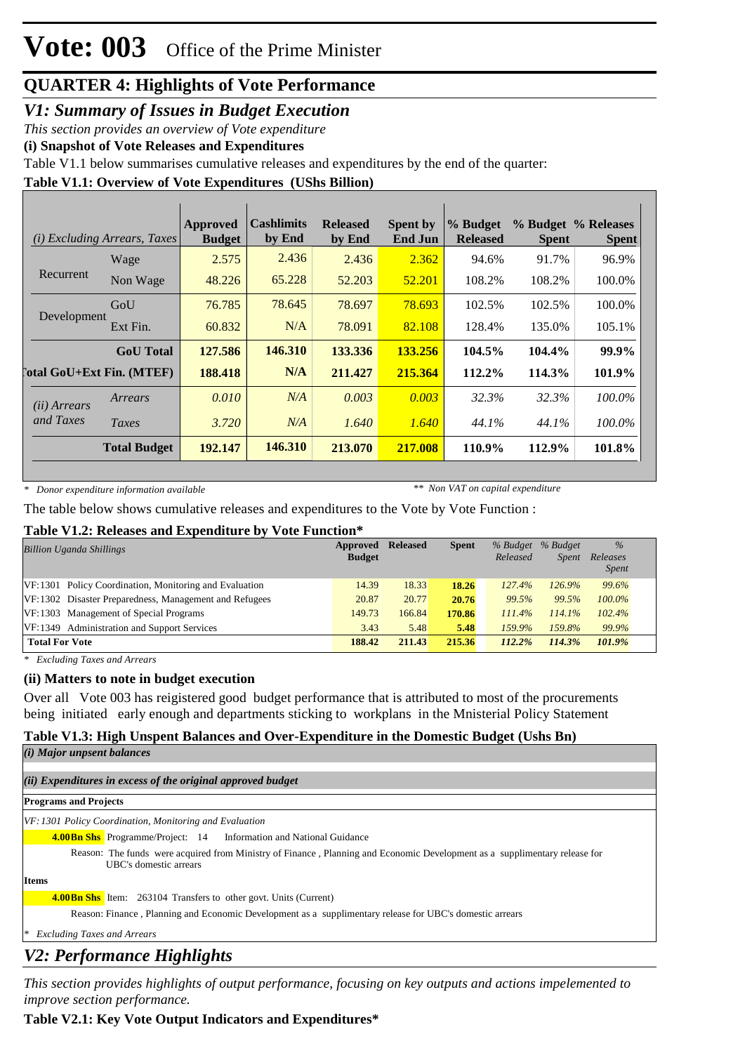#### *V1: Summary of Issues in Budget Execution*

*This section provides an overview of Vote expenditure*

**(i) Snapshot of Vote Releases and Expenditures**

Table V1.1 below summarises cumulative releases and expenditures by the end of the quarter:

#### **Table V1.1: Overview of Vote Expenditures (UShs Billion)**

|                       | <i>(i)</i> Excluding Arrears, Taxes | Approved<br><b>Budget</b> | <b>Cashlimits</b><br>by End | <b>Released</b><br>by End | <b>Spent by</b><br><b>End Jun</b> | % Budget<br><b>Released</b> | <b>Spent</b> | % Budget % Releases<br><b>Spent</b> |
|-----------------------|-------------------------------------|---------------------------|-----------------------------|---------------------------|-----------------------------------|-----------------------------|--------------|-------------------------------------|
|                       | Wage                                | 2.575                     | 2.436                       | 2.436                     | 2.362                             | 94.6%                       | 91.7%        | 96.9%                               |
| Recurrent             | Non Wage                            | 48.226                    | 65.228                      | 52.203                    | 52.201                            | 108.2%                      | 108.2%       | 100.0%                              |
|                       | GoU                                 | 76.785                    | 78.645                      | 78.697                    | 78.693                            | 102.5%                      | 102.5%       | 100.0%                              |
| Development           | Ext Fin.                            | 60.832                    | N/A                         | 78.091                    | 82.108                            | 128.4%                      | 135.0%       | 105.1%                              |
|                       | <b>GoU</b> Total                    | 127.586                   | 146.310                     | 133.336                   | 133.256                           | 104.5%                      | 104.4%       | 99.9%                               |
|                       | <b>Total GoU+Ext Fin. (MTEF)</b>    | 188.418                   | N/A                         | 211.427                   | 215.364                           | 112.2%                      | 114.3%       | 101.9%                              |
| ( <i>ii</i> ) Arrears | Arrears                             | 0.010                     | N/A                         | 0.003                     | 0.003                             | 32.3%                       | 32.3%        | 100.0%                              |
| and Taxes             | Taxes                               | 3.720                     | N/A                         | 1.640                     | 1.640                             | 44.1%                       | 44.1%        | 100.0%                              |
|                       | <b>Total Budget</b>                 | 192.147                   | 146.310                     | 213.070                   | 217.008                           | 110.9%                      | 112.9%       | 101.8%                              |

*\* Donor expenditure information available*

*\*\* Non VAT on capital expenditure*

The table below shows cumulative releases and expenditures to the Vote by Vote Function :

#### **Table V1.2: Releases and Expenditure by Vote Function\***

| <b>Billion Uganda Shillings</b>                        | Approved<br><b>Budget</b> | <b>Released</b> | <b>Spent</b> | % Budget<br>Released | % Budget<br><i>Spent</i> | $\%$<br>Releases<br><i>Spent</i> |
|--------------------------------------------------------|---------------------------|-----------------|--------------|----------------------|--------------------------|----------------------------------|
| VF:1301 Policy Coordination, Monitoring and Evaluation | 14.39                     | 18.33           | 18.26        | 127.4%               | 126.9%                   | 99.6%                            |
| VF:1302 Disaster Preparedness, Management and Refugees | 20.87                     | 20.77           | 20.76        | 99.5%                | 99.5%                    | $100.0\%$                        |
| VF:1303 Management of Special Programs                 | 149.73                    | 166.84          | 170.86       | 111.4%               | 114.1%                   | 102.4%                           |
| VF:1349 Administration and Support Services            | 3.43                      | 5.48            | 5.48         | 159.9%               | 159.8%                   | 99.9%                            |
| <b>Total For Vote</b>                                  | 188.42                    | 211.43          | 215.36       | 112.2%               | 114.3%                   | 101.9%                           |

*\* Excluding Taxes and Arrears*

#### **(ii) Matters to note in budget execution**

Over all Vote 003 has reigistered good budget performance that is attributed to most of the procurements being initiated early enough and departments sticking to workplans in the Mnisterial Policy Statement

#### **Table V1.3: High Unspent Balances and Over-Expenditure in the Domestic Budget (Ushs Bn)**

| ( <i>i</i> ) Major unpsent balances                                                                                                                  |
|------------------------------------------------------------------------------------------------------------------------------------------------------|
| (ii) Expenditures in excess of the original approved budget                                                                                          |
| <b>Programs and Projects</b>                                                                                                                         |
| VF: 1301 Policy Coordination, Monitoring and Evaluation                                                                                              |
| <b>4.00 Bn Shs</b> Programme/Project: 14 Information and National Guidance                                                                           |
| Reason: The funds were acquired from Ministry of Finance, Planning and Economic Development as a supplimentary release for<br>UBC's domestic arrears |
| <b>Items</b>                                                                                                                                         |
| <b>4.00 Bn Shs</b> Item: 263104 Transfers to other govt. Units (Current)                                                                             |
| Reason: Finance, Planning and Economic Development as a supplimentary release for UBC's domestic arrears                                             |
| ∗<br><b>Excluding Taxes and Arrears</b>                                                                                                              |

### *V2: Performance Highlights*

*This section provides highlights of output performance, focusing on key outputs and actions impelemented to improve section performance.*

#### **Table V2.1: Key Vote Output Indicators and Expenditures\***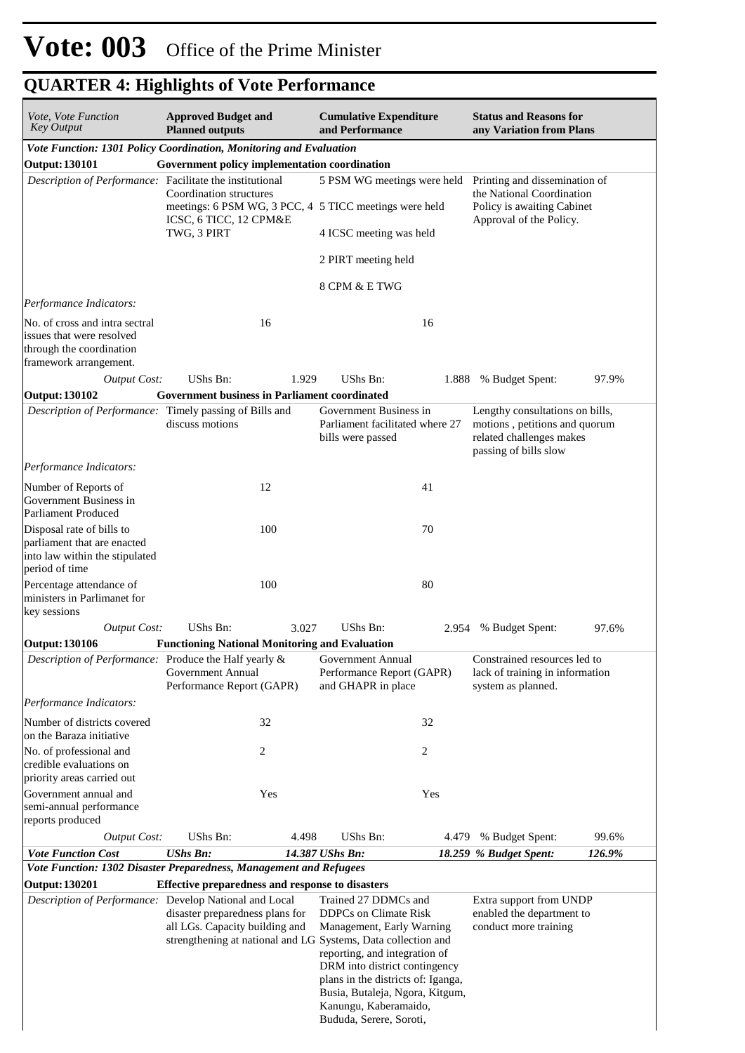| <i>Vote, Vote Function</i><br><b>Key Output</b>                                                                   | <b>Approved Budget and</b><br><b>Planned outputs</b>                                                                                                                                   |       | <b>Cumulative Expenditure</b><br>and Performance                                                                                                                                          |       | <b>Status and Reasons for</b><br>any Variation from Plans                                                             |        |  |
|-------------------------------------------------------------------------------------------------------------------|----------------------------------------------------------------------------------------------------------------------------------------------------------------------------------------|-------|-------------------------------------------------------------------------------------------------------------------------------------------------------------------------------------------|-------|-----------------------------------------------------------------------------------------------------------------------|--------|--|
| Vote Function: 1301 Policy Coordination, Monitoring and Evaluation                                                |                                                                                                                                                                                        |       |                                                                                                                                                                                           |       |                                                                                                                       |        |  |
| Output: 130101                                                                                                    | Government policy implementation coordination                                                                                                                                          |       |                                                                                                                                                                                           |       |                                                                                                                       |        |  |
| Description of Performance: Facilitate the institutional                                                          | Coordination structures                                                                                                                                                                |       |                                                                                                                                                                                           |       | 5 PSM WG meetings were held Printing and dissemination of<br>the National Coordination                                |        |  |
|                                                                                                                   | meetings: 6 PSM WG, 3 PCC, 4 5 TICC meetings were held<br>ICSC, 6 TICC, 12 CPM&E                                                                                                       |       |                                                                                                                                                                                           |       | Policy is awaiting Cabinet                                                                                            |        |  |
|                                                                                                                   | TWG, 3 PIRT                                                                                                                                                                            |       | 4 ICSC meeting was held                                                                                                                                                                   |       | Approval of the Policy.                                                                                               |        |  |
|                                                                                                                   |                                                                                                                                                                                        |       | 2 PIRT meeting held                                                                                                                                                                       |       |                                                                                                                       |        |  |
|                                                                                                                   |                                                                                                                                                                                        |       | 8 CPM & E TWG                                                                                                                                                                             |       |                                                                                                                       |        |  |
| Performance Indicators:                                                                                           |                                                                                                                                                                                        |       |                                                                                                                                                                                           |       |                                                                                                                       |        |  |
| No. of cross and intra sectral<br>issues that were resolved<br>through the coordination<br>framework arrangement. | 16                                                                                                                                                                                     |       |                                                                                                                                                                                           | 16    |                                                                                                                       |        |  |
| <b>Output Cost:</b>                                                                                               | UShs Bn:                                                                                                                                                                               | 1.929 | UShs Bn:                                                                                                                                                                                  | 1.888 | % Budget Spent:                                                                                                       | 97.9%  |  |
| Output: 130102                                                                                                    | <b>Government business in Parliament coordinated</b>                                                                                                                                   |       |                                                                                                                                                                                           |       |                                                                                                                       |        |  |
| Description of Performance: Timely passing of Bills and                                                           | discuss motions                                                                                                                                                                        |       | Government Business in<br>Parliament facilitated where 27<br>bills were passed                                                                                                            |       | Lengthy consultations on bills,<br>motions, petitions and quorum<br>related challenges makes<br>passing of bills slow |        |  |
| Performance Indicators:                                                                                           |                                                                                                                                                                                        |       |                                                                                                                                                                                           |       |                                                                                                                       |        |  |
| Number of Reports of<br>Government Business in<br>Parliament Produced                                             | 12                                                                                                                                                                                     |       |                                                                                                                                                                                           | 41    |                                                                                                                       |        |  |
| Disposal rate of bills to<br>parliament that are enacted<br>into law within the stipulated                        | 100                                                                                                                                                                                    |       |                                                                                                                                                                                           | 70    |                                                                                                                       |        |  |
| period of time                                                                                                    |                                                                                                                                                                                        |       |                                                                                                                                                                                           |       |                                                                                                                       |        |  |
| Percentage attendance of<br>ministers in Parlimanet for<br>key sessions                                           | 100                                                                                                                                                                                    |       |                                                                                                                                                                                           | 80    |                                                                                                                       |        |  |
| <b>Output Cost:</b>                                                                                               | UShs Bn:                                                                                                                                                                               | 3.027 | UShs Bn:                                                                                                                                                                                  | 2.954 | % Budget Spent:                                                                                                       | 97.6%  |  |
| Output: 130106                                                                                                    | <b>Functioning National Monitoring and Evaluation</b>                                                                                                                                  |       |                                                                                                                                                                                           |       |                                                                                                                       |        |  |
| Description of Performance: Produce the Half yearly & Government Annual                                           | Government Annual<br>Performance Report (GAPR)                                                                                                                                         |       | Performance Report (GAPR)<br>and GHAPR in place                                                                                                                                           |       | Constrained resources led to<br>lack of training in information<br>system as planned.                                 |        |  |
| Performance Indicators:                                                                                           |                                                                                                                                                                                        |       |                                                                                                                                                                                           |       |                                                                                                                       |        |  |
| Number of districts covered<br>on the Baraza initiative                                                           | 32                                                                                                                                                                                     |       |                                                                                                                                                                                           | 32    |                                                                                                                       |        |  |
| No. of professional and<br>credible evaluations on<br>priority areas carried out                                  | 2                                                                                                                                                                                      |       |                                                                                                                                                                                           | 2     |                                                                                                                       |        |  |
| Government annual and                                                                                             | Yes                                                                                                                                                                                    |       |                                                                                                                                                                                           | Yes   |                                                                                                                       |        |  |
| semi-annual performance<br>reports produced                                                                       |                                                                                                                                                                                        |       |                                                                                                                                                                                           |       |                                                                                                                       |        |  |
| <b>Output Cost:</b>                                                                                               | UShs Bn:                                                                                                                                                                               | 4.498 | UShs Bn:                                                                                                                                                                                  | 4.479 | % Budget Spent:                                                                                                       | 99.6%  |  |
| <b>Vote Function Cost</b>                                                                                         | <b>UShs Bn:</b>                                                                                                                                                                        |       | 14.387 UShs Bn:                                                                                                                                                                           |       | 18.259 % Budget Spent:                                                                                                | 126.9% |  |
| Vote Function: 1302 Disaster Preparedness, Management and Refugees                                                |                                                                                                                                                                                        |       |                                                                                                                                                                                           |       |                                                                                                                       |        |  |
| <b>Output: 130201</b><br>Description of Performance: Develop National and Local                                   | Effective preparedness and response to disasters<br>disaster preparedness plans for<br>all LGs. Capacity building and<br>strengthening at national and LG Systems, Data collection and |       | Trained 27 DDMCs and<br><b>DDPCs</b> on Climate Risk<br>Management, Early Warning<br>reporting, and integration of<br>DRM into district contingency<br>plans in the districts of: Iganga, |       | Extra support from UNDP<br>enabled the department to<br>conduct more training                                         |        |  |
|                                                                                                                   |                                                                                                                                                                                        |       | Busia, Butaleja, Ngora, Kitgum,<br>Kanungu, Kaberamaido,<br>Bududa, Serere, Soroti,                                                                                                       |       |                                                                                                                       |        |  |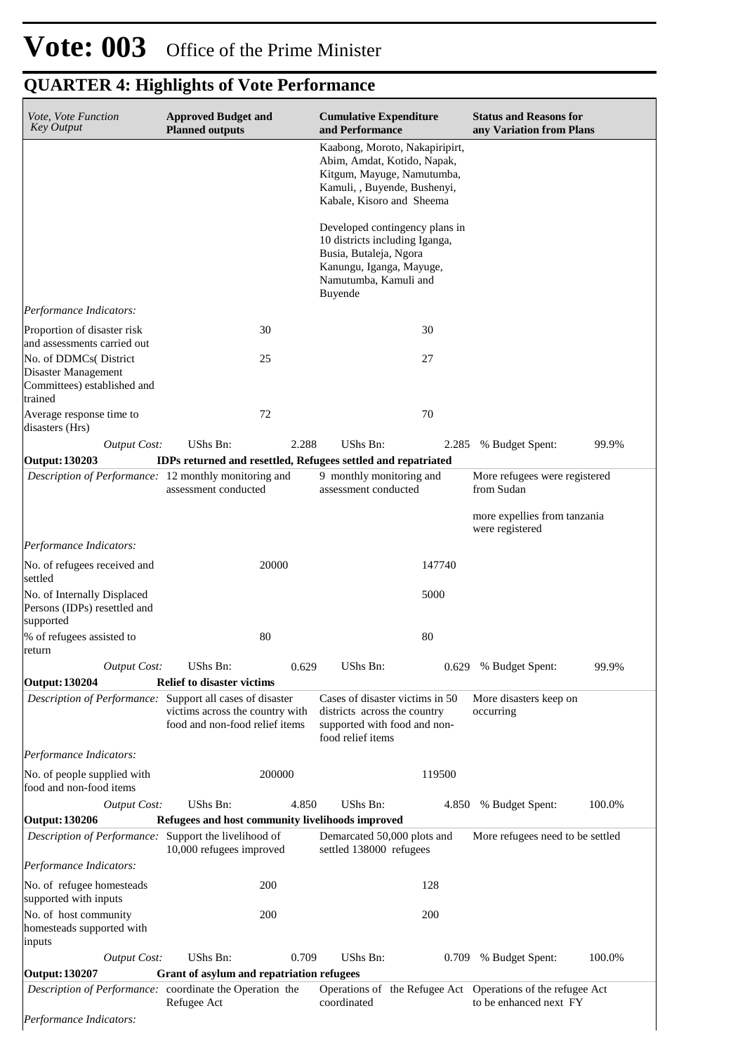# **Vote: 003** Office of the Prime Minister

# **QUARTER 4: Highlights of Vote Performance**

| Vote, Vote Function<br><b>Key Output</b>                                                | <b>Approved Budget and</b><br><b>Planned outputs</b>                                                  | <b>Cumulative Expenditure</b><br>and Performance                                                                                                           | <b>Status and Reasons for</b><br>any Variation from Plans |
|-----------------------------------------------------------------------------------------|-------------------------------------------------------------------------------------------------------|------------------------------------------------------------------------------------------------------------------------------------------------------------|-----------------------------------------------------------|
|                                                                                         |                                                                                                       | Kaabong, Moroto, Nakapiripirt,<br>Abim, Amdat, Kotido, Napak,<br>Kitgum, Mayuge, Namutumba,<br>Kamuli, , Buyende, Bushenyi,<br>Kabale, Kisoro and Sheema   |                                                           |
|                                                                                         |                                                                                                       | Developed contingency plans in<br>10 districts including Iganga,<br>Busia, Butaleja, Ngora<br>Kanungu, Iganga, Mayuge,<br>Namutumba, Kamuli and<br>Buyende |                                                           |
| Performance Indicators:                                                                 |                                                                                                       |                                                                                                                                                            |                                                           |
| Proportion of disaster risk<br>and assessments carried out                              | 30                                                                                                    | 30                                                                                                                                                         |                                                           |
| No. of DDMCs( District<br>Disaster Management<br>Committees) established and<br>trained | 25                                                                                                    | 27                                                                                                                                                         |                                                           |
| Average response time to<br>disasters (Hrs)                                             | 72                                                                                                    | 70                                                                                                                                                         |                                                           |
| <b>Output Cost:</b>                                                                     | UShs Bn:<br>2.288                                                                                     | UShs Bn:<br>2.285                                                                                                                                          | % Budget Spent:<br>99.9%                                  |
| <b>Output: 130203</b>                                                                   | IDPs returned and resettled, Refugees settled and repatriated                                         |                                                                                                                                                            |                                                           |
| Description of Performance: 12 monthly monitoring and                                   | assessment conducted                                                                                  | 9 monthly monitoring and<br>assessment conducted                                                                                                           | More refugees were registered<br>from Sudan               |
|                                                                                         |                                                                                                       |                                                                                                                                                            | more expellies from tanzania<br>were registered           |
| Performance Indicators:                                                                 |                                                                                                       |                                                                                                                                                            |                                                           |
| No. of refugees received and<br>settled                                                 | 20000                                                                                                 | 147740                                                                                                                                                     |                                                           |
| No. of Internally Displaced<br>Persons (IDPs) resettled and<br>supported                |                                                                                                       | 5000                                                                                                                                                       |                                                           |
| % of refugees assisted to<br>return                                                     | 80                                                                                                    | 80                                                                                                                                                         |                                                           |
| <b>Output Cost:</b>                                                                     | UShs Bn:<br>0.629                                                                                     | UShs Bn:                                                                                                                                                   | 0.629 % Budget Spent:<br>99.9%                            |
| <b>Output: 130204</b>                                                                   | <b>Relief to disaster victims</b>                                                                     |                                                                                                                                                            |                                                           |
| Description of Performance: Support all cases of disaster                               | victims across the country with<br>food and non-food relief items                                     | Cases of disaster victims in 50<br>districts across the country<br>supported with food and non-<br>food relief items                                       | More disasters keep on<br>occurring                       |
| Performance Indicators:                                                                 |                                                                                                       |                                                                                                                                                            |                                                           |
| No. of people supplied with<br>food and non-food items                                  | 200000                                                                                                | 119500                                                                                                                                                     |                                                           |
| <b>Output Cost:</b>                                                                     | UShs Bn:<br>4.850                                                                                     | <b>UShs Bn:</b><br>4.850                                                                                                                                   | % Budget Spent:<br>100.0%                                 |
| <b>Output: 130206</b><br>Description of Performance: Support the livelihood of          | Refugees and host community livelihoods improved<br>10,000 refugees improved                          | Demarcated 50,000 plots and<br>settled 138000 refugees                                                                                                     | More refugees need to be settled                          |
| Performance Indicators:                                                                 |                                                                                                       |                                                                                                                                                            |                                                           |
| No. of refugee homesteads<br>supported with inputs                                      | 200                                                                                                   | 128                                                                                                                                                        |                                                           |
| No. of host community<br>homesteads supported with<br>inputs                            | 200                                                                                                   | 200                                                                                                                                                        |                                                           |
| <b>Output Cost:</b>                                                                     | <b>UShs Bn:</b><br>0.709                                                                              | UShs Bn:<br>0.709                                                                                                                                          | 100.0%<br>% Budget Spent:                                 |
| <b>Output: 130207</b>                                                                   | Grant of asylum and repatriation refugees<br>Description of Performance: coordinate the Operation the | Operations of the Refugee Act Operations of the refugee Act                                                                                                |                                                           |
|                                                                                         | Refugee Act                                                                                           | coordinated                                                                                                                                                | to be enhanced next FY                                    |
| Performance Indicators:                                                                 |                                                                                                       |                                                                                                                                                            |                                                           |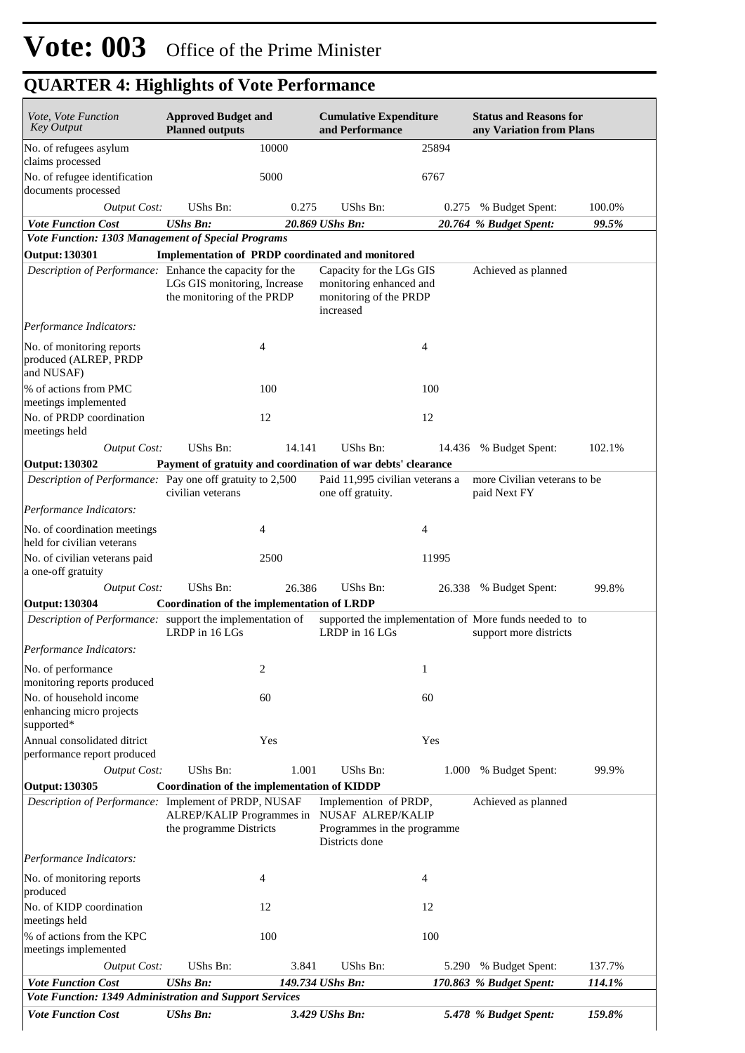| <i>Vote, Vote Function</i><br><b>Key Output</b>                                      | <b>Approved Budget and</b><br><b>Planned outputs</b>       |                | <b>Cumulative Expenditure</b><br>and Performance                                            |        | <b>Status and Reasons for</b><br>any Variation from Plans                         |        |
|--------------------------------------------------------------------------------------|------------------------------------------------------------|----------------|---------------------------------------------------------------------------------------------|--------|-----------------------------------------------------------------------------------|--------|
| No. of refugees asylum<br>claims processed                                           |                                                            | 10000          |                                                                                             | 25894  |                                                                                   |        |
| No. of refugee identification<br>documents processed                                 |                                                            | 5000           |                                                                                             | 6767   |                                                                                   |        |
| <b>Output Cost:</b>                                                                  | UShs Bn:                                                   | 0.275          | UShs Bn:                                                                                    | 0.275  | % Budget Spent:                                                                   | 100.0% |
| <b>Vote Function Cost</b>                                                            | <b>UShs Bn:</b>                                            |                | 20.869 UShs Bn:                                                                             |        | 20.764 % Budget Spent:                                                            | 99.5%  |
| Vote Function: 1303 Management of Special Programs                                   |                                                            |                |                                                                                             |        |                                                                                   |        |
| <b>Output: 130301</b>                                                                |                                                            |                | Implementation of PRDP coordinated and monitored                                            |        |                                                                                   |        |
| Description of Performance: Enhance the capacity for the                             | LGs GIS monitoring, Increase<br>the monitoring of the PRDP |                | Capacity for the LGs GIS<br>monitoring enhanced and<br>monitoring of the PRDP<br>increased  |        | Achieved as planned                                                               |        |
| Performance Indicators:                                                              |                                                            |                |                                                                                             |        |                                                                                   |        |
| No. of monitoring reports<br>produced (ALREP, PRDP<br>and NUSAF)                     |                                                            | $\overline{4}$ |                                                                                             | 4      |                                                                                   |        |
| % of actions from PMC<br>meetings implemented                                        |                                                            | 100            |                                                                                             | 100    |                                                                                   |        |
| No. of PRDP coordination<br>meetings held                                            |                                                            | 12             |                                                                                             | 12     |                                                                                   |        |
| <b>Output Cost:</b>                                                                  | UShs Bn:                                                   | 14.141         | UShs Bn:                                                                                    | 14.436 | % Budget Spent:                                                                   | 102.1% |
| Output: 130302                                                                       |                                                            |                | Payment of gratuity and coordination of war debts' clearance                                |        |                                                                                   |        |
| Description of Performance: Pay one off gratuity to 2,500                            | civilian veterans                                          |                | Paid 11,995 civilian veterans a<br>one off gratuity.                                        |        | more Civilian veterans to be<br>paid Next FY                                      |        |
| Performance Indicators:                                                              |                                                            |                |                                                                                             |        |                                                                                   |        |
| No. of coordination meetings<br>held for civilian veterans                           |                                                            | 4              |                                                                                             | 4      |                                                                                   |        |
| No. of civilian veterans paid<br>a one-off gratuity                                  |                                                            | 2500           |                                                                                             | 11995  |                                                                                   |        |
| <b>Output Cost:</b>                                                                  | UShs Bn:                                                   | 26.386         | UShs Bn:                                                                                    | 26.338 | % Budget Spent:                                                                   | 99.8%  |
| Output: 130304                                                                       | Coordination of the implementation of LRDP                 |                |                                                                                             |        |                                                                                   |        |
| Description of Performance: support the implementation of                            | LRDP in 16 LGs                                             |                | LRDP in 16 LGs                                                                              |        | supported the implementation of More funds needed to to<br>support more districts |        |
| Performance Indicators:                                                              |                                                            |                |                                                                                             |        |                                                                                   |        |
| No. of performance<br>monitoring reports produced                                    |                                                            | $\sqrt{2}$     |                                                                                             | 1      |                                                                                   |        |
| No. of household income<br>enhancing micro projects<br>supported*                    |                                                            | 60             |                                                                                             | 60     |                                                                                   |        |
| Annual consolidated ditrict<br>performance report produced                           |                                                            | Yes            |                                                                                             | Yes    |                                                                                   |        |
| <b>Output Cost:</b>                                                                  | UShs Bn:                                                   | 1.001          | UShs Bn:                                                                                    | 1.000  | % Budget Spent:                                                                   | 99.9%  |
| Output: 130305                                                                       | Coordination of the implementation of KIDDP                |                |                                                                                             |        |                                                                                   |        |
| Description of Performance: Implement of PRDP, NUSAF                                 | ALREP/KALIP Programmes in<br>the programme Districts       |                | Implemention of PRDP,<br>NUSAF ALREP/KALIP<br>Programmes in the programme<br>Districts done |        | Achieved as planned                                                               |        |
| Performance Indicators:                                                              |                                                            |                |                                                                                             |        |                                                                                   |        |
| No. of monitoring reports<br>produced                                                |                                                            | 4              |                                                                                             | 4      |                                                                                   |        |
| No. of KIDP coordination<br>meetings held                                            |                                                            | 12             |                                                                                             | 12     |                                                                                   |        |
| % of actions from the KPC<br>meetings implemented                                    |                                                            | 100            |                                                                                             | 100    |                                                                                   |        |
|                                                                                      | UShs Bn:                                                   | 3.841          | UShs Bn:                                                                                    | 5.290  | % Budget Spent:                                                                   | 137.7% |
| <b>Output Cost:</b>                                                                  |                                                            |                |                                                                                             |        |                                                                                   |        |
| <b>Vote Function Cost</b><br>Vote Function: 1349 Administration and Support Services | <b>UShs Bn:</b>                                            |                | 149.734 UShs Bn:                                                                            |        | 170.863 % Budget Spent:                                                           | 114.1% |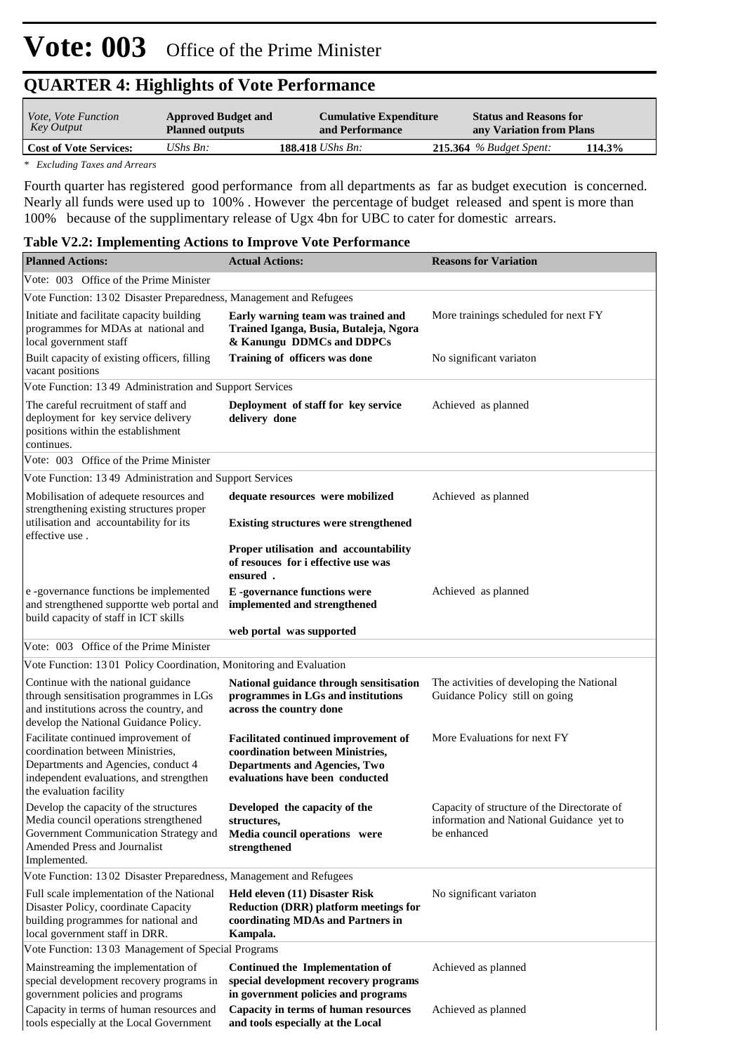| <i>Vote, Vote Function</i><br>Key Output | <b>Approved Budget and</b><br><b>Planned outputs</b> | <b>Cumulative Expenditure</b><br>and Performance | <b>Status and Reasons for</b><br>any Variation from Plans |  |
|------------------------------------------|------------------------------------------------------|--------------------------------------------------|-----------------------------------------------------------|--|
| <b>Cost of Vote Services:</b>            | UShs $B_n$ :                                         | <b>188.418</b> <i>UShs Bn:</i>                   | $215.364$ % Budget Spent:<br>114.3%                       |  |
|                                          |                                                      |                                                  |                                                           |  |

*\* Excluding Taxes and Arrears*

Fourth quarter has registered good performance from all departments as far as budget execution is concerned. Nearly all funds were used up to 100% . However the percentage of budget released and spent is more than 100% because of the supplimentary release of Ugx 4bn for UBC to cater for domestic arrears.

#### **Table V2.2: Implementing Actions to Improve Vote Performance**

| <b>Planned Actions:</b>                                                                                                                                                              | <b>Actual Actions:</b>                                                                                                                                     | <b>Reasons for Variation</b>                                                                           |
|--------------------------------------------------------------------------------------------------------------------------------------------------------------------------------------|------------------------------------------------------------------------------------------------------------------------------------------------------------|--------------------------------------------------------------------------------------------------------|
| Vote: 003 Office of the Prime Minister                                                                                                                                               |                                                                                                                                                            |                                                                                                        |
| Vote Function: 1302 Disaster Preparedness, Management and Refugees                                                                                                                   |                                                                                                                                                            |                                                                                                        |
| Initiate and facilitate capacity building<br>programmes for MDAs at national and<br>local government staff                                                                           | Early warning team was trained and<br>Trained Iganga, Busia, Butaleja, Ngora<br>& Kanungu DDMCs and DDPCs                                                  | More trainings scheduled for next FY                                                                   |
| Built capacity of existing officers, filling<br>vacant positions                                                                                                                     | Training of officers was done                                                                                                                              | No significant variaton                                                                                |
| Vote Function: 1349 Administration and Support Services                                                                                                                              |                                                                                                                                                            |                                                                                                        |
| The careful recruitment of staff and<br>deployment for key service delivery<br>positions within the establishment<br>continues.                                                      | Deployment of staff for key service<br>delivery done                                                                                                       | Achieved as planned                                                                                    |
| Vote: 003 Office of the Prime Minister                                                                                                                                               |                                                                                                                                                            |                                                                                                        |
| Vote Function: 1349 Administration and Support Services                                                                                                                              |                                                                                                                                                            |                                                                                                        |
| Mobilisation of adequete resources and<br>strengthening existing structures proper                                                                                                   | dequate resources were mobilized                                                                                                                           | Achieved as planned                                                                                    |
| utilisation and accountability for its<br>effective use.                                                                                                                             | <b>Existing structures were strengthened</b>                                                                                                               |                                                                                                        |
|                                                                                                                                                                                      | Proper utilisation and accountability<br>of resouces for i effective use was<br>ensured.                                                                   |                                                                                                        |
| e -governance functions be implemented<br>and strengthened supportte web portal and<br>build capacity of staff in ICT skills                                                         | <b>E</b> -governance functions were<br>implemented and strengthened                                                                                        | Achieved as planned                                                                                    |
|                                                                                                                                                                                      | web portal was supported                                                                                                                                   |                                                                                                        |
| Vote: 003 Office of the Prime Minister                                                                                                                                               |                                                                                                                                                            |                                                                                                        |
| Vote Function: 1301 Policy Coordination, Monitoring and Evaluation                                                                                                                   |                                                                                                                                                            |                                                                                                        |
| Continue with the national guidance<br>through sensitisation programmes in LGs<br>and institutions across the country, and<br>develop the National Guidance Policy.                  | National guidance through sensitisation<br>programmes in LGs and institutions<br>across the country done                                                   | The activities of developing the National<br>Guidance Policy still on going                            |
| Facilitate continued improvement of<br>coordination between Ministries,<br>Departments and Agencies, conduct 4<br>independent evaluations, and strengthen<br>the evaluation facility | <b>Facilitated continued improvement of</b><br>coordination between Ministries,<br><b>Departments and Agencies, Two</b><br>evaluations have been conducted | More Evaluations for next FY                                                                           |
| Develop the capacity of the structures<br>Media council operations strengthened<br>Government Communication Strategy and<br>Amended Press and Journalist<br>Implemented.             | Developed the capacity of the<br>structures,<br>Media council operations were<br>strengthened                                                              | Capacity of structure of the Directorate of<br>information and National Guidance yet to<br>be enhanced |
| Vote Function: 1302 Disaster Preparedness, Management and Refugees                                                                                                                   |                                                                                                                                                            |                                                                                                        |
| Full scale implementation of the National<br>Disaster Policy, coordinate Capacity<br>building programmes for national and<br>local government staff in DRR.                          | Held eleven (11) Disaster Risk<br><b>Reduction (DRR) platform meetings for</b><br>coordinating MDAs and Partners in<br>Kampala.                            | No significant variaton                                                                                |
| Vote Function: 1303 Management of Special Programs                                                                                                                                   |                                                                                                                                                            |                                                                                                        |
| Mainstreaming the implementation of<br>special development recovery programs in<br>government policies and programs<br>Capacity in terms of human resources and                      | Continued the Implementation of<br>special development recovery programs<br>in government policies and programs<br>Capacity in terms of human resources    | Achieved as planned<br>Achieved as planned                                                             |
| tools especially at the Local Government                                                                                                                                             | and tools especially at the Local                                                                                                                          |                                                                                                        |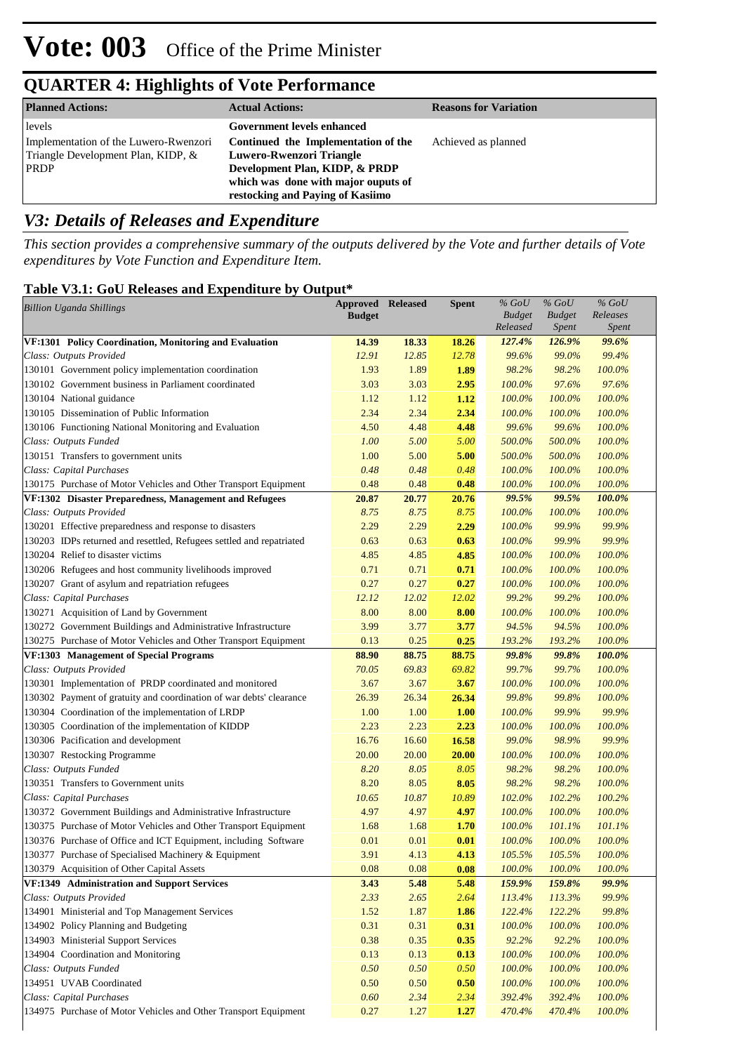| <b>Planned Actions:</b>                                                                    | <b>Actual Actions:</b>                                                                                                                                                       | <b>Reasons for Variation</b> |
|--------------------------------------------------------------------------------------------|------------------------------------------------------------------------------------------------------------------------------------------------------------------------------|------------------------------|
| levels                                                                                     | Government levels enhanced                                                                                                                                                   |                              |
| Implementation of the Luwero-Rwenzori<br>Triangle Development Plan, KIDP, &<br><b>PRDP</b> | Continued the Implementation of the<br>Luwero-Rwenzori Triangle<br>Development Plan, KIDP, & PRDP<br>which was done with major ouputs of<br>restocking and Paving of Kasiimo | Achieved as planned          |

### *V3: Details of Releases and Expenditure*

*This section provides a comprehensive summary of the outputs delivered by the Vote and further details of Vote expenditures by Vote Function and Expenditure Item.*

#### **Table V3.1: GoU Releases and Expenditure by Output\***

| <b>Billion Uganda Shillings</b><br><b>Budget</b><br><b>Budget</b><br>Releases<br><b>Budget</b><br>Released<br><i>Spent</i><br>Spent<br>126.9%<br>99.6%<br>VF:1301 Policy Coordination, Monitoring and Evaluation<br>14.39<br>18.33<br>18.26<br>127.4%<br>Class: Outputs Provided<br>12.91<br>12.85<br>12.78<br>99.6%<br>99.0%<br>99.4%<br>130101 Government policy implementation coordination<br>1.93<br>1.89<br>1.89<br>98.2%<br>98.2%<br>100.0%<br>97.6%<br>130102 Government business in Parliament coordinated<br>3.03<br>3.03<br>2.95<br>100.0%<br>97.6%<br>130104 National guidance<br>100.0%<br>100.0%<br>100.0%<br>1.12<br>1.12<br>1.12 |
|--------------------------------------------------------------------------------------------------------------------------------------------------------------------------------------------------------------------------------------------------------------------------------------------------------------------------------------------------------------------------------------------------------------------------------------------------------------------------------------------------------------------------------------------------------------------------------------------------------------------------------------------------|
|                                                                                                                                                                                                                                                                                                                                                                                                                                                                                                                                                                                                                                                  |
|                                                                                                                                                                                                                                                                                                                                                                                                                                                                                                                                                                                                                                                  |
|                                                                                                                                                                                                                                                                                                                                                                                                                                                                                                                                                                                                                                                  |
|                                                                                                                                                                                                                                                                                                                                                                                                                                                                                                                                                                                                                                                  |
|                                                                                                                                                                                                                                                                                                                                                                                                                                                                                                                                                                                                                                                  |
|                                                                                                                                                                                                                                                                                                                                                                                                                                                                                                                                                                                                                                                  |
|                                                                                                                                                                                                                                                                                                                                                                                                                                                                                                                                                                                                                                                  |
| 2.34<br>100.0%<br>130105 Dissemination of Public Information<br>2.34<br>2.34<br>100.0%<br>100.0%                                                                                                                                                                                                                                                                                                                                                                                                                                                                                                                                                 |
| 100.0%<br>130106 Functioning National Monitoring and Evaluation<br>4.50<br>99.6%<br>99.6%<br>4.48<br>4.48                                                                                                                                                                                                                                                                                                                                                                                                                                                                                                                                        |
| 100.0%<br>Class: Outputs Funded<br>1.00<br>5.00<br>5.00<br>500.0%<br>500.0%                                                                                                                                                                                                                                                                                                                                                                                                                                                                                                                                                                      |
| 130151 Transfers to government units<br>100.0%<br>1.00<br>5.00<br>5.00<br>500.0%<br>500.0%                                                                                                                                                                                                                                                                                                                                                                                                                                                                                                                                                       |
| Class: Capital Purchases<br>0.48<br>100.0%<br>100.0%<br>0.48<br>0.48<br>100.0%                                                                                                                                                                                                                                                                                                                                                                                                                                                                                                                                                                   |
| 100.0%<br>130175 Purchase of Motor Vehicles and Other Transport Equipment<br>0.48<br>0.48<br>100.0%<br>100.0%<br>0.48                                                                                                                                                                                                                                                                                                                                                                                                                                                                                                                            |
| VF:1302 Disaster Preparedness, Management and Refugees<br>99.5%<br>100.0%<br>20.87<br>20.77<br>20.76<br><b>99.5%</b>                                                                                                                                                                                                                                                                                                                                                                                                                                                                                                                             |
| Class: Outputs Provided<br>8.75<br>100.0%<br>100.0%<br>8.75<br>8.75<br>100.0%                                                                                                                                                                                                                                                                                                                                                                                                                                                                                                                                                                    |
| 99.9%<br>130201 Effective preparedness and response to disasters<br>2.29<br>2.29<br>2.29<br>100.0%<br>99.9%                                                                                                                                                                                                                                                                                                                                                                                                                                                                                                                                      |
| 99.9%<br>130203 IDPs returned and resettled, Refugees settled and repatriated<br>0.63<br>0.63<br>100.0%<br>99.9%<br>0.63                                                                                                                                                                                                                                                                                                                                                                                                                                                                                                                         |
| 130204 Relief to disaster victims<br>100.0%<br>4.85<br>4.85<br>4.85<br>100.0%<br>100.0%                                                                                                                                                                                                                                                                                                                                                                                                                                                                                                                                                          |
| 100.0%<br>100.0%<br>130206 Refugees and host community livelihoods improved<br>0.71<br>0.71<br>100.0%<br>0.71                                                                                                                                                                                                                                                                                                                                                                                                                                                                                                                                    |
| 0.27<br>100.0%<br>130207 Grant of asylum and repatriation refugees<br>0.27<br>0.27<br>100.0%<br>100.0%                                                                                                                                                                                                                                                                                                                                                                                                                                                                                                                                           |
| Class: Capital Purchases<br>99.2%<br>100.0%<br>12.12<br>12.02<br>12.02<br>99.2%                                                                                                                                                                                                                                                                                                                                                                                                                                                                                                                                                                  |
| 130271 Acquisition of Land by Government<br>8.00<br>8.00<br>8.00<br>100.0%<br>100.0%<br>100.0%                                                                                                                                                                                                                                                                                                                                                                                                                                                                                                                                                   |
| 100.0%<br>130272 Government Buildings and Administrative Infrastructure<br>3.99<br>3.77<br>3.77<br>94.5%<br>94.5%                                                                                                                                                                                                                                                                                                                                                                                                                                                                                                                                |
| 0.25<br>100.0%<br>130275 Purchase of Motor Vehicles and Other Transport Equipment<br>0.13<br>0.25<br>193.2%<br>193.2%                                                                                                                                                                                                                                                                                                                                                                                                                                                                                                                            |
| 100.0%<br>88.75<br>88.75<br>99.8%<br>99.8%<br>VF:1303 Management of Special Programs<br>88.90                                                                                                                                                                                                                                                                                                                                                                                                                                                                                                                                                    |
| Class: Outputs Provided<br>70.05<br>69.83<br>69.82<br>99.7%<br>99.7%<br>100.0%                                                                                                                                                                                                                                                                                                                                                                                                                                                                                                                                                                   |
| 100.0%<br>130301 Implementation of PRDP coordinated and monitored<br>100.0%<br>100.0%<br>3.67<br>3.67<br>3.67                                                                                                                                                                                                                                                                                                                                                                                                                                                                                                                                    |
| 130302 Payment of gratuity and coordination of war debts' clearance<br>100.0%<br>26.39<br>26.34<br>26.34<br>99.8%<br>99.8%                                                                                                                                                                                                                                                                                                                                                                                                                                                                                                                       |
| 99.9%<br>130304 Coordination of the implementation of LRDP<br>100.0%<br>99.9%<br>1.00<br>1.00<br><b>1.00</b>                                                                                                                                                                                                                                                                                                                                                                                                                                                                                                                                     |
| 2.23<br>2.23<br>100.0%<br>130305 Coordination of the implementation of KIDDP<br>2.23<br>100.0%<br>100.0%                                                                                                                                                                                                                                                                                                                                                                                                                                                                                                                                         |
| 99.9%<br>130306 Pacification and development<br>16.76<br>16.60<br>16.58<br>99.0%<br>98.9%                                                                                                                                                                                                                                                                                                                                                                                                                                                                                                                                                        |
| 100.0%<br>130307 Restocking Programme<br>20.00<br>20.00<br>20.00<br>100.0%<br>100.0%                                                                                                                                                                                                                                                                                                                                                                                                                                                                                                                                                             |
| 100.0%<br>Class: Outputs Funded<br>8.20<br>8.05<br>8.05<br>98.2%<br>98.2%                                                                                                                                                                                                                                                                                                                                                                                                                                                                                                                                                                        |
| 130351 Transfers to Government units<br>100.0%<br>8.20<br>8.05<br>8.05<br>98.2%<br>98.2%                                                                                                                                                                                                                                                                                                                                                                                                                                                                                                                                                         |
| 102.2%<br>100.2%<br>Class: Capital Purchases<br>10.65<br>10.87<br>10.89<br>102.0%                                                                                                                                                                                                                                                                                                                                                                                                                                                                                                                                                                |
| 100.0%<br>130372 Government Buildings and Administrative Infrastructure<br>4.97<br>4.97<br>100.0%<br>100.0%<br>4.97                                                                                                                                                                                                                                                                                                                                                                                                                                                                                                                              |
| 101.1%<br>130375 Purchase of Motor Vehicles and Other Transport Equipment<br>1.68<br>1.68<br>100.0%<br>101.1%<br>1.70                                                                                                                                                                                                                                                                                                                                                                                                                                                                                                                            |
| 0.01<br>0.01<br>100.0%<br>100.0%<br>130376 Purchase of Office and ICT Equipment, including Software<br>0.01<br>100.0%                                                                                                                                                                                                                                                                                                                                                                                                                                                                                                                            |
| 130377 Purchase of Specialised Machinery & Equipment<br>3.91<br>105.5%<br>100.0%<br>4.13<br>4.13<br>105.5%                                                                                                                                                                                                                                                                                                                                                                                                                                                                                                                                       |
| 130379 Acquisition of Other Capital Assets<br>0.08<br>100.0%<br>0.08<br>0.08<br>100.0%<br>100.0%                                                                                                                                                                                                                                                                                                                                                                                                                                                                                                                                                 |
| 99.9%<br>VF:1349 Administration and Support Services<br>3.43<br>5.48<br>5.48<br>159.9%<br>159.8%                                                                                                                                                                                                                                                                                                                                                                                                                                                                                                                                                 |
| Class: Outputs Provided<br>2.33<br>99.9%<br>2.65<br>2.64<br>113.3%<br>113.4%                                                                                                                                                                                                                                                                                                                                                                                                                                                                                                                                                                     |
| 134901 Ministerial and Top Management Services<br>99.8%<br>1.52<br>1.87<br>1.86<br>122.4%<br>122.2%                                                                                                                                                                                                                                                                                                                                                                                                                                                                                                                                              |
| 0.31<br>100.0%<br>134902 Policy Planning and Budgeting<br>0.31<br>0.31<br>100.0%<br>100.0%                                                                                                                                                                                                                                                                                                                                                                                                                                                                                                                                                       |
| 134903 Ministerial Support Services<br>0.38<br>0.35<br>0.35<br>92.2%<br>92.2%<br>100.0%                                                                                                                                                                                                                                                                                                                                                                                                                                                                                                                                                          |
| 134904 Coordination and Monitoring<br>100.0%<br>0.13<br>0.13<br>100.0%<br>100.0%<br>0.13                                                                                                                                                                                                                                                                                                                                                                                                                                                                                                                                                         |
| Class: Outputs Funded<br>100.0%<br>100.0%<br>0.50<br>0.50<br>0.50<br>100.0%                                                                                                                                                                                                                                                                                                                                                                                                                                                                                                                                                                      |
| 134951 UVAB Coordinated<br>0.50<br>100.0%<br>100.0%<br>100.0%<br>0.50<br>0.50                                                                                                                                                                                                                                                                                                                                                                                                                                                                                                                                                                    |
| 0.60<br>2.34<br>392.4%<br>392.4%<br>100.0%<br>Class: Capital Purchases<br>2.34                                                                                                                                                                                                                                                                                                                                                                                                                                                                                                                                                                   |
| 134975 Purchase of Motor Vehicles and Other Transport Equipment<br>100.0%<br>0.27<br>1.27<br>1.27<br>470.4%<br>470.4%                                                                                                                                                                                                                                                                                                                                                                                                                                                                                                                            |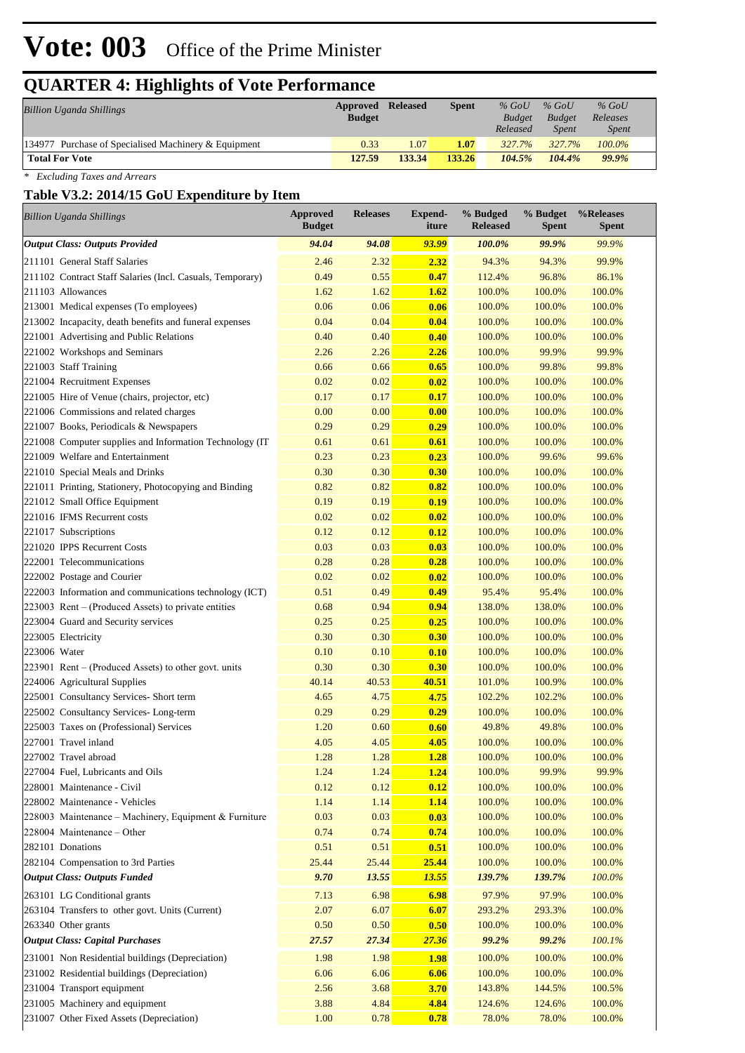# **Vote: 003** Office of the Prime Minister

# **QUARTER 4: Highlights of Vote Performance**

| <b>Billion Uganda Shillings</b>                         | <b>Approved Released</b><br><b>Budget</b> |        | Spent  | $%$ GoU<br><b>Budget</b><br>Released | $%$ GoU<br><b>Budget</b><br><i>Spent</i> | $%$ GoU<br>Releases<br><i>Spent</i> |  |
|---------------------------------------------------------|-------------------------------------------|--------|--------|--------------------------------------|------------------------------------------|-------------------------------------|--|
| 134977<br>Purchase of Specialised Machinery & Equipment | 0.33                                      | 1.07   | 1.07   | 327.7%                               | 327.7%                                   | 100.0%                              |  |
| <b>Total For Vote</b>                                   | 127.59                                    | 133.34 | 133.26 | 104.5%                               | 104.4%                                   | 99.9%                               |  |

*\* Excluding Taxes and Arrears*

#### **Table V3.2: 2014/15 GoU Expenditure by Item**

| <b>Billion Uganda Shillings</b>                           | <b>Approved</b><br><b>Budget</b> | <b>Releases</b> | <b>Expend-</b><br>iture | % Budged<br><b>Released</b> | % Budget<br><b>Spent</b> | %Releases<br><b>Spent</b> |
|-----------------------------------------------------------|----------------------------------|-----------------|-------------------------|-----------------------------|--------------------------|---------------------------|
| <b>Output Class: Outputs Provided</b>                     | 94.04                            | 94.08           | 93.99                   | 100.0%                      | 99.9%                    | 99.9%                     |
| 211101 General Staff Salaries                             | 2.46                             | 2.32            | 2.32                    | 94.3%                       | 94.3%                    | 99.9%                     |
| 211102 Contract Staff Salaries (Incl. Casuals, Temporary) | 0.49                             | 0.55            | 0.47                    | 112.4%                      | 96.8%                    | 86.1%                     |
| 211103 Allowances                                         | 1.62                             | 1.62            | 1.62                    | 100.0%                      | 100.0%                   | 100.0%                    |
| 213001 Medical expenses (To employees)                    | 0.06                             | 0.06            | 0.06                    | 100.0%                      | 100.0%                   | 100.0%                    |
| 213002 Incapacity, death benefits and funeral expenses    | 0.04                             | 0.04            | 0.04                    | 100.0%                      | 100.0%                   | 100.0%                    |
| 221001 Advertising and Public Relations                   | 0.40                             | 0.40            | 0.40                    | 100.0%                      | 100.0%                   | 100.0%                    |
| 221002 Workshops and Seminars                             | 2.26                             | 2.26            | 2.26                    | 100.0%                      | 99.9%                    | 99.9%                     |
| 221003 Staff Training                                     | 0.66                             | 0.66            | 0.65                    | 100.0%                      | 99.8%                    | 99.8%                     |
| 221004 Recruitment Expenses                               | 0.02                             | 0.02            | 0.02                    | 100.0%                      | 100.0%                   | 100.0%                    |
| 221005 Hire of Venue (chairs, projector, etc)             | 0.17                             | 0.17            | 0.17                    | 100.0%                      | 100.0%                   | 100.0%                    |
| 221006 Commissions and related charges                    | 0.00                             | 0.00            | 0.00                    | 100.0%                      | 100.0%                   | 100.0%                    |
| 221007 Books, Periodicals & Newspapers                    | 0.29                             | 0.29            | 0.29                    | 100.0%                      | 100.0%                   | 100.0%                    |
| 221008 Computer supplies and Information Technology (IT   | 0.61                             | 0.61            | 0.61                    | 100.0%                      | 100.0%                   | 100.0%                    |
| 221009 Welfare and Entertainment                          | 0.23                             | 0.23            | 0.23                    | 100.0%                      | 99.6%                    | 99.6%                     |
| 221010 Special Meals and Drinks                           | 0.30                             | 0.30            | 0.30                    | 100.0%                      | 100.0%                   | 100.0%                    |
| 221011 Printing, Stationery, Photocopying and Binding     | 0.82                             | 0.82            | 0.82                    | 100.0%                      | 100.0%                   | 100.0%                    |
| 221012 Small Office Equipment                             | 0.19                             | 0.19            | 0.19                    | 100.0%                      | 100.0%                   | 100.0%                    |
| 221016 IFMS Recurrent costs                               | 0.02                             | 0.02            | 0.02                    | 100.0%                      | 100.0%                   | 100.0%                    |
| 221017 Subscriptions                                      | 0.12                             | 0.12            | 0.12                    | 100.0%                      | 100.0%                   | 100.0%                    |
| 221020 IPPS Recurrent Costs                               | 0.03                             | 0.03            | 0.03                    | 100.0%                      | 100.0%                   | 100.0%                    |
| 222001 Telecommunications                                 | 0.28                             | 0.28            | 0.28                    | 100.0%                      | 100.0%                   | 100.0%                    |
| 222002 Postage and Courier                                | 0.02                             | 0.02            | 0.02                    | 100.0%                      | 100.0%                   | 100.0%                    |
| 222003 Information and communications technology (ICT)    | 0.51                             | 0.49            | 0.49                    | 95.4%                       | 95.4%                    | 100.0%                    |
| 223003 Rent – (Produced Assets) to private entities       | 0.68                             | 0.94            | 0.94                    | 138.0%                      | 138.0%                   | 100.0%                    |
| 223004 Guard and Security services                        | 0.25                             | 0.25            | 0.25                    | 100.0%                      | 100.0%                   | 100.0%                    |
| 223005 Electricity                                        | 0.30                             | 0.30            | 0.30                    | 100.0%                      | 100.0%                   | 100.0%                    |
| 223006 Water                                              | 0.10                             | 0.10            | 0.10                    | 100.0%                      | 100.0%                   | 100.0%                    |
| 223901 Rent – (Produced Assets) to other govt. units      | 0.30                             | 0.30            | 0.30                    | 100.0%                      | 100.0%                   | 100.0%                    |
| 224006 Agricultural Supplies                              | 40.14                            | 40.53           | 40.51                   | 101.0%                      | 100.9%                   | 100.0%                    |
| 225001 Consultancy Services- Short term                   | 4.65                             | 4.75            | 4.75                    | 102.2%                      | 102.2%                   | 100.0%                    |
| 225002 Consultancy Services-Long-term                     | 0.29                             | 0.29            | 0.29                    | 100.0%                      | 100.0%                   | 100.0%                    |
| 225003 Taxes on (Professional) Services                   | 1.20                             | 0.60            | 0.60                    | 49.8%                       | 49.8%                    | 100.0%                    |
| 227001 Travel inland                                      | 4.05                             | 4.05            | 4.05                    | 100.0%                      | 100.0%                   | 100.0%                    |
| 227002 Travel abroad                                      | 1.28                             | 1.28            | 1.28                    | 100.0%                      | 100.0%                   | 100.0%                    |
| 227004 Fuel, Lubricants and Oils                          | 1.24                             | 1.24            | 1.24                    | 100.0%                      | 99.9%                    | 99.9%                     |
| 228001 Maintenance - Civil                                | 0.12                             | 0.12            | 0.12                    | 100.0%                      | 100.0%                   | 100.0%                    |
| 228002 Maintenance - Vehicles                             | 1.14                             | 1.14            | <b>1.14</b>             | 100.0%                      | 100.0%                   | 100.0%                    |
| 228003 Maintenance - Machinery, Equipment & Furniture     | 0.03                             | 0.03            | 0.03                    | 100.0%                      | 100.0%                   | 100.0%                    |
| 228004 Maintenance - Other                                | 0.74                             | 0.74            | 0.74                    | 100.0%                      | 100.0%                   | 100.0%                    |
| 282101 Donations                                          | 0.51                             | 0.51            | 0.51                    | 100.0%                      | 100.0%                   | 100.0%                    |
| 282104 Compensation to 3rd Parties                        | 25.44                            | 25.44           | 25.44                   | 100.0%                      | 100.0%                   | 100.0%                    |
| <b>Output Class: Outputs Funded</b>                       | 9.70                             | 13.55           | 13.55                   | 139.7%                      | 139.7%                   | $100.0\%$                 |
|                                                           |                                  |                 |                         |                             |                          |                           |
| 263101 LG Conditional grants                              | 7.13                             | 6.98            | 6.98                    | 97.9%                       | 97.9%                    | 100.0%                    |
| 263104 Transfers to other govt. Units (Current)           | 2.07                             | 6.07            | 6.07                    | 293.2%                      | 293.3%                   | 100.0%                    |
| 263340 Other grants                                       | 0.50                             | 0.50            | 0.50                    | 100.0%                      | 100.0%                   | 100.0%                    |
| <b>Output Class: Capital Purchases</b>                    | 27.57                            | 27.34           | 27.36                   | 99.2%                       | 99.2%                    | 100.1%                    |
| 231001 Non Residential buildings (Depreciation)           | 1.98                             | 1.98            | <b>1.98</b>             | 100.0%                      | 100.0%                   | 100.0%                    |
| 231002 Residential buildings (Depreciation)               | 6.06                             | 6.06            | 6.06                    | 100.0%                      | 100.0%                   | 100.0%                    |
| 231004 Transport equipment                                | 2.56                             | 3.68            | 3.70                    | 143.8%                      | 144.5%                   | 100.5%                    |
| 231005 Machinery and equipment                            | 3.88                             | 4.84            | 4.84                    | 124.6%                      | 124.6%                   | 100.0%                    |
| 231007 Other Fixed Assets (Depreciation)                  | 1.00                             | 0.78            | 0.78                    | 78.0%                       | 78.0%                    | 100.0%                    |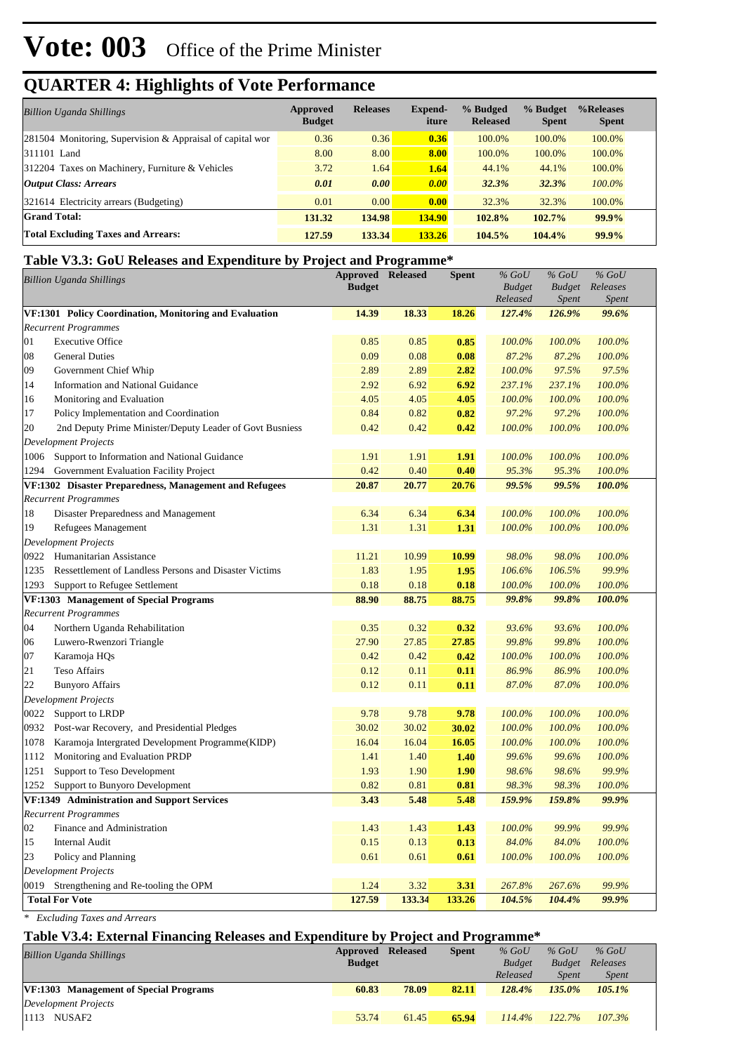# **Vote: 003** Office of the Prime Minister

## **QUARTER 4: Highlights of Vote Performance**

| <b>Billion Uganda Shillings</b>                            | Approved<br><b>Budget</b> | <b>Releases</b> | Expend-<br>iture | % Budged<br><b>Released</b> | % Budget<br><b>Spent</b> | %Releases<br><b>Spent</b> |
|------------------------------------------------------------|---------------------------|-----------------|------------------|-----------------------------|--------------------------|---------------------------|
| 281504 Monitoring, Supervision & Appraisal of capital wor  | 0.36                      | 0.36            | 0.36             | 100.0%                      | 100.0%                   | 100.0%                    |
| 311101 Land                                                | 8.00                      | 8.00            | 8.00             | 100.0%                      | 100.0%                   | 100.0%                    |
| $ 312204 \text{ Taxes}$ on Machinery, Furniture & Vehicles | 3.72                      | 1.64            | 1.64             | 44.1%                       | 44.1%                    | 100.0%                    |
| <b>Output Class: Arrears</b>                               | 0.01                      | 0.00            | 0.00             | 32.3%                       | 32.3%                    | $100.0\%$                 |
| 321614 Electricity arrears (Budgeting)                     | 0.01                      | 0.00            | 0.00             | 32.3%                       | 32.3%                    | 100.0%                    |
| <b>Grand Total:</b>                                        | 131.32                    | 134.98          | <b>134.90</b>    | 102.8%                      | 102.7%                   | 99.9%                     |
| <b>Total Excluding Taxes and Arrears:</b>                  | 127.59                    | 133.34          | 133.26           | 104.5%                      | 104.4%                   | 99.9%                     |

#### **Table V3.3: GoU Releases and Expenditure by Project and Programme\***

|      | <b>Billion Uganda Shillings</b>                          | <b>Approved</b><br><b>Budget</b> | <b>Released</b> | Spent  | $%$ GoU<br><b>Budget</b><br>Released | $%$ GoU<br><b>Budget</b><br>Spent | $%$ GoU<br>Releases<br><b>Spent</b> |  |
|------|----------------------------------------------------------|----------------------------------|-----------------|--------|--------------------------------------|-----------------------------------|-------------------------------------|--|
|      | VF:1301 Policy Coordination, Monitoring and Evaluation   | 14.39                            | 18.33           | 18.26  | 127.4%                               | 126.9%                            | 99.6%                               |  |
|      | <b>Recurrent Programmes</b>                              |                                  |                 |        |                                      |                                   |                                     |  |
| 01   | <b>Executive Office</b>                                  | 0.85                             | 0.85            | 0.85   | 100.0%                               | 100.0%                            | 100.0%                              |  |
| 08   | <b>General Duties</b>                                    | 0.09                             | 0.08            | 0.08   | 87.2%                                | 87.2%                             | 100.0%                              |  |
| 09   | Government Chief Whip                                    | 2.89                             | 2.89            | 2.82   | 100.0%                               | 97.5%                             | 97.5%                               |  |
| 14   | Information and National Guidance                        | 2.92                             | 6.92            | 6.92   | 237.1%                               | 237.1%                            | 100.0%                              |  |
| 16   | Monitoring and Evaluation                                | 4.05                             | 4.05            | 4.05   | 100.0%                               | 100.0%                            | 100.0%                              |  |
| 17   | Policy Implementation and Coordination                   | 0.84                             | 0.82            | 0.82   | 97.2%                                | 97.2%                             | 100.0%                              |  |
| 20   | 2nd Deputy Prime Minister/Deputy Leader of Govt Busniess | 0.42                             | 0.42            | 0.42   | 100.0%                               | 100.0%                            | 100.0%                              |  |
|      | <b>Development Projects</b>                              |                                  |                 |        |                                      |                                   |                                     |  |
| 1006 | Support to Information and National Guidance             | 1.91                             | 1.91            | 1.91   | 100.0%                               | 100.0%                            | 100.0%                              |  |
| 1294 | Government Evaluation Facility Project                   | 0.42                             | 0.40            | 0.40   | 95.3%                                | 95.3%                             | 100.0%                              |  |
|      | VF:1302 Disaster Preparedness, Management and Refugees   | 20.87                            | 20.77           | 20.76  | 99.5%                                | 99.5%                             | 100.0%                              |  |
|      | <b>Recurrent Programmes</b>                              |                                  |                 |        |                                      |                                   |                                     |  |
| 18   | Disaster Preparedness and Management                     | 6.34                             | 6.34            | 6.34   | 100.0%                               | 100.0%                            | 100.0%                              |  |
| 19   | Refugees Management                                      | 1.31                             | 1.31            | 1.31   | 100.0%                               | 100.0%                            | 100.0%                              |  |
|      | Development Projects                                     |                                  |                 |        |                                      |                                   |                                     |  |
|      | 0922 Humanitarian Assistance                             | 11.21                            | 10.99           | 10.99  | 98.0%                                | 98.0%                             | 100.0%                              |  |
| 1235 | Ressettlement of Landless Persons and Disaster Victims   | 1.83                             | 1.95            | 1.95   | 106.6%                               | 106.5%                            | 99.9%                               |  |
| 1293 | Support to Refugee Settlement                            | 0.18                             | 0.18            | 0.18   | 100.0%                               | 100.0%                            | 100.0%                              |  |
|      | VF:1303 Management of Special Programs                   | 88.90                            | 88.75           | 88.75  | 99.8%                                | 99.8%                             | 100.0%                              |  |
|      | <b>Recurrent Programmes</b>                              |                                  |                 |        |                                      |                                   |                                     |  |
| 04   | Northern Uganda Rehabilitation                           | 0.35                             | 0.32            | 0.32   | 93.6%                                | 93.6%                             | 100.0%                              |  |
| 06   | Luwero-Rwenzori Triangle                                 | 27.90                            | 27.85           | 27.85  | 99.8%                                | 99.8%                             | 100.0%                              |  |
| 07   | Karamoja HQs                                             | 0.42                             | 0.42            | 0.42   | 100.0%                               | 100.0%                            | 100.0%                              |  |
| 21   | <b>Teso Affairs</b>                                      | 0.12                             | 0.11            | 0.11   | 86.9%                                | 86.9%                             | 100.0%                              |  |
| 22   | <b>Bunyoro Affairs</b>                                   | 0.12                             | 0.11            | 0.11   | 87.0%                                | 87.0%                             | 100.0%                              |  |
|      | <b>Development Projects</b>                              |                                  |                 |        |                                      |                                   |                                     |  |
| 0022 | Support to LRDP                                          | 9.78                             | 9.78            | 9.78   | 100.0%                               | 100.0%                            | 100.0%                              |  |
| 0932 | Post-war Recovery, and Presidential Pledges              | 30.02                            | 30.02           | 30.02  | 100.0%                               | 100.0%                            | 100.0%                              |  |
| 1078 | Karamoja Intergrated Development Programme(KIDP)         | 16.04                            | 16.04           | 16.05  | 100.0%                               | 100.0%                            | 100.0%                              |  |
| 1112 | Monitoring and Evaluation PRDP                           | 1.41                             | 1.40            | 1.40   | 99.6%                                | 99.6%                             | 100.0%                              |  |
| 1251 | Support to Teso Development                              | 1.93                             | 1.90            | 1.90   | 98.6%                                | 98.6%                             | 99.9%                               |  |
| 1252 | Support to Bunyoro Development                           | 0.82                             | 0.81            | 0.81   | 98.3%                                | 98.3%                             | 100.0%                              |  |
|      | VF:1349 Administration and Support Services              | 3.43                             | 5.48            | 5.48   | 159.9%                               | 159.8%                            | 99.9%                               |  |
|      | <b>Recurrent Programmes</b>                              |                                  |                 |        |                                      |                                   |                                     |  |
| 02   | Finance and Administration                               | 1.43                             | 1.43            | 1.43   | 100.0%                               | 99.9%                             | 99.9%                               |  |
| 15   | Internal Audit                                           | 0.15                             | 0.13            | 0.13   | 84.0%                                | 84.0%                             | 100.0%                              |  |
| 23   | Policy and Planning                                      | 0.61                             | 0.61            | 0.61   | 100.0%                               | 100.0%                            | 100.0%                              |  |
|      | <b>Development Projects</b>                              |                                  |                 |        |                                      |                                   |                                     |  |
| 0019 | Strengthening and Re-tooling the OPM                     | 1.24                             | 3.32            | 3.31   | 267.8%                               | 267.6%                            | 99.9%                               |  |
|      | <b>Total For Vote</b>                                    | 127.59                           | 133.34          | 133.26 | 104.5%                               | 104.4%                            | 99.9%                               |  |

*\* Excluding Taxes and Arrears*

#### **Table V3.4: External Financing Releases and Expenditure by Project and Programme\***

| <b>Billion Uganda Shillings</b>               | <b>Approved Released</b> |       | <b>Spent</b> | $\%$ GoU      | $%$ GoU       | $%$ GoU      |  |
|-----------------------------------------------|--------------------------|-------|--------------|---------------|---------------|--------------|--|
|                                               | <b>Budget</b>            |       |              | <b>Budget</b> | <b>Budget</b> | Releases     |  |
|                                               |                          |       |              | Released      | Spent         | <i>Spent</i> |  |
| <b>VF:1303</b> Management of Special Programs | 60.83                    | 78.09 | 82.11        | 128.4%        | $135.0\%$     | $105.1\%$    |  |
| Development Projects                          |                          |       |              |               |               |              |  |
| $ 1113$ NUSAF2                                | 53.74                    | 61.45 | 65.94        | $114.4\%$     | 122.7%        | 107.3%       |  |